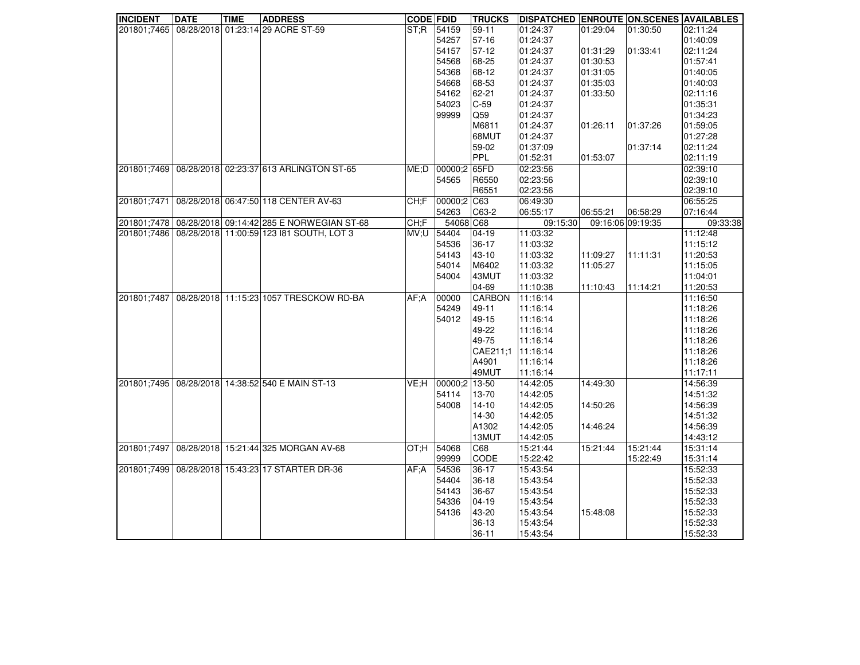| <b>INCIDENT</b> | <b>DATE</b> | <b>TIME</b> | <b>ADDRESS</b>                                              | <b>CODE FDID</b> |                   | <b>TRUCKS</b> | <b>DISPATCHED ENROUTE ON.SCENES AVAILABLES</b> |          |                   |          |
|-----------------|-------------|-------------|-------------------------------------------------------------|------------------|-------------------|---------------|------------------------------------------------|----------|-------------------|----------|
| 201801;7465     |             |             | 08/28/2018 01:23:14 29 ACRE ST-59                           | ST:R             | 54159             | $59 - 11$     | 01:24:37                                       | 01:29:04 | 01:30:50          | 02:11:24 |
|                 |             |             |                                                             |                  | 54257             | $57-16$       | 01:24:37                                       |          |                   | 01:40:09 |
|                 |             |             |                                                             |                  | 54157             | $57-12$       | 01:24:37                                       | 01:31:29 | 01:33:41          | 02:11:24 |
|                 |             |             |                                                             |                  | 54568             | 68-25         | 01:24:37                                       | 01:30:53 |                   | 01:57:41 |
|                 |             |             |                                                             |                  | 54368             | 68-12         | 01:24:37                                       | 01:31:05 |                   | 01:40:05 |
|                 |             |             |                                                             |                  | 54668             | 68-53         | 01:24:37                                       | 01:35:03 |                   | 01:40:03 |
|                 |             |             |                                                             |                  | 54162             | 62-21         | 01:24:37                                       | 01:33:50 |                   | 02:11:16 |
|                 |             |             |                                                             |                  | 54023             | $C-59$        | 01:24:37                                       |          |                   | 01:35:31 |
|                 |             |             |                                                             |                  | 99999             | Q59           | 01:24:37                                       |          |                   | 01:34:23 |
|                 |             |             |                                                             |                  |                   | M6811         | 01:24:37                                       | 01:26:11 | 01:37:26          | 01:59:05 |
|                 |             |             |                                                             |                  |                   | 68MUT         | 01:24:37                                       |          |                   | 01:27:28 |
|                 |             |             |                                                             |                  |                   | 59-02         | 01:37:09                                       |          | 01:37:14          | 02:11:24 |
|                 |             |             |                                                             |                  |                   | PPL           | 01:52:31                                       | 01:53:07 |                   | 02:11:19 |
| 201801;7469     |             |             | 08/28/2018 02:23:37 613 ARLINGTON ST-65                     |                  | ME;D 00000;2 65FD |               | 02:23:56                                       |          |                   | 02:39:10 |
|                 |             |             |                                                             |                  | 54565             | R6550         | 02:23:56                                       |          |                   | 02:39:10 |
|                 |             |             |                                                             |                  |                   | R6551         | 02:23:56                                       |          |                   | 02:39:10 |
| 201801;7471     |             |             | 08/28/2018 06:47:50 118 CENTER AV-63                        | CH;F             | 00000;2 C63       |               | 06:49:30                                       |          |                   | 06:55:25 |
|                 |             |             |                                                             |                  | 54263             | C63-2         | 06:55:17                                       | 06:55:21 | 06:58:29          | 07:16:44 |
|                 |             |             | 201801;7478   08/28/2018   09:14:42   285 E NORWEGIAN ST-68 | CH;F             | 54068 C68         |               | 09:15:30                                       |          | 09:16:06 09:19:35 | 09:33:38 |
|                 |             |             | 201801;7486 08/28/2018 11:00:59 123 181 SOUTH, LOT 3        | U;VM             | 54404             | $04-19$       | 11:03:32                                       |          |                   | 11:12:48 |
|                 |             |             |                                                             |                  | 54536             | $36-17$       | 11:03:32                                       |          |                   | 11:15:12 |
|                 |             |             |                                                             |                  | 54143             | $43 - 10$     | 11:03:32                                       | 11:09:27 | 11:11:31          | 11:20:53 |
|                 |             |             |                                                             |                  | 54014             | M6402         | 11:03:32                                       | 11:05:27 |                   | 11:15:05 |
|                 |             |             |                                                             |                  | 54004             | 43MUT         | 11:03:32                                       |          |                   | 11:04:01 |
|                 |             |             |                                                             |                  |                   | 04-69         | 11:10:38                                       | 11:10:43 | 11:14:21          | 11:20:53 |
| 201801;7487     |             |             | 08/28/2018 11:15:23 1057 TRESCKOW RD-BA                     | AF: A            | 00000             | <b>CARBON</b> | 11:16:14                                       |          |                   | 11:16:50 |
|                 |             |             |                                                             |                  | 54249             | 49-11         | 11:16:14                                       |          |                   | 11:18:26 |
|                 |             |             |                                                             |                  | 54012             | 49-15         | 11:16:14                                       |          |                   | 11:18:26 |
|                 |             |             |                                                             |                  |                   | 49-22         | 11:16:14                                       |          |                   | 11:18:26 |
|                 |             |             |                                                             |                  |                   | 49-75         | 11:16:14                                       |          |                   | 11:18:26 |
|                 |             |             |                                                             |                  |                   | CAE211:1      | 11:16:14                                       |          |                   | 11:18:26 |
|                 |             |             |                                                             |                  |                   | A4901         | 11:16:14                                       |          |                   | 11:18:26 |
|                 |             |             |                                                             |                  |                   | 49MUT         | 11:16:14                                       |          |                   | 11:17:11 |
| 201801;7495     |             |             | 08/28/2018 14:38:52 540 E MAIN ST-13                        | VE:H             | 00000:2 13-50     |               | 14:42:05                                       | 14:49:30 |                   | 14:56:39 |
|                 |             |             |                                                             |                  | 54114             | 13-70         | 14:42:05                                       |          |                   | 14:51:32 |
|                 |             |             |                                                             |                  | 54008             | $14 - 10$     | 14:42:05                                       | 14:50:26 |                   | 14:56:39 |
|                 |             |             |                                                             |                  |                   | 14-30         | 14:42:05                                       |          |                   | 14:51:32 |
|                 |             |             |                                                             |                  |                   | A1302         | 14:42:05                                       | 14:46:24 |                   | 14:56:39 |
|                 |             |             |                                                             |                  |                   | 13MUT         | 14:42:05                                       |          |                   | 14:43:12 |
| 201801;7497     |             |             | 08/28/2018 15:21:44 325 MORGAN AV-68                        | OT:H             | 54068             | C68           | 15:21:44                                       | 15:21:44 | 15:21:44          | 15:31:14 |
|                 |             |             |                                                             |                  | 99999             | CODE          | 15:22:42                                       |          | 15:22:49          | 15:31:14 |
| 201801;7499     |             |             | 08/28/2018 15:43:23 17 STARTER DR-36                        | AF: A            | 54536             | 36-17         | 15:43:54                                       |          |                   | 15:52:33 |
|                 |             |             |                                                             |                  | 54404             | $36-18$       | 15:43:54                                       |          |                   | 15:52:33 |
|                 |             |             |                                                             |                  | 54143             | 36-67         | 15:43:54                                       |          |                   | 15:52:33 |
|                 |             |             |                                                             |                  | 54336             | $04-19$       | 15:43:54                                       |          |                   | 15:52:33 |
|                 |             |             |                                                             |                  | 54136             | 43-20         | 15:43:54                                       | 15:48:08 |                   | 15:52:33 |
|                 |             |             |                                                             |                  |                   | $36-13$       | 15:43:54                                       |          |                   | 15:52:33 |
|                 |             |             |                                                             |                  |                   | $36 - 11$     | 15:43:54                                       |          |                   | 15:52:33 |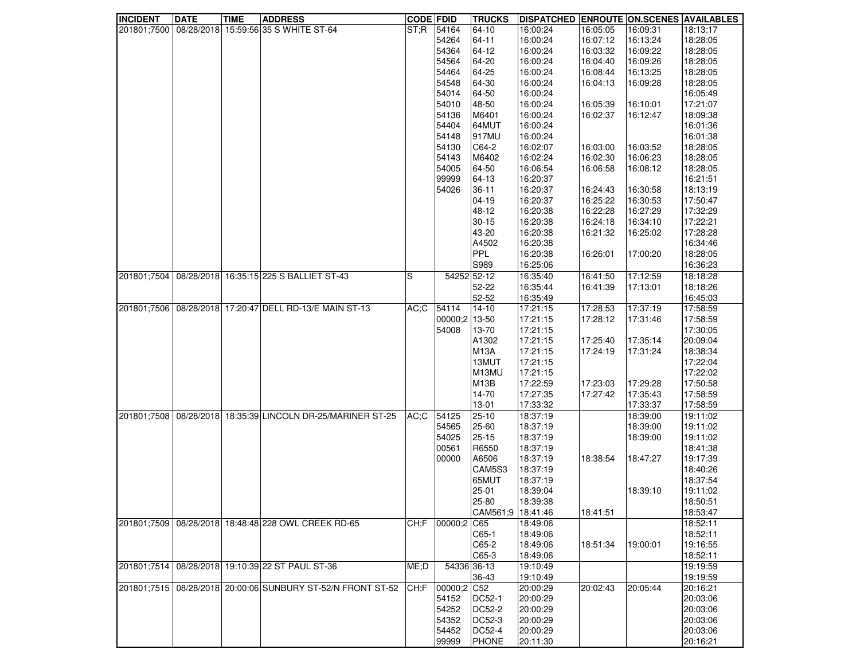| <b>INCIDENT</b> | <b>DATE</b> | <b>TIME</b> | <b>ADDRESS</b>                                                  | <b>CODE FDID</b> |               | <b>TRUCKS</b>     | <b>DISPATCHED ENROUTE ON.SCENES AVAILABLES</b> |          |          |          |
|-----------------|-------------|-------------|-----------------------------------------------------------------|------------------|---------------|-------------------|------------------------------------------------|----------|----------|----------|
|                 |             |             | 201801;7500   08/28/2018   15:59:56 35 S WHITE ST-64            | ST:R             | 54164         | 64-10             | 16:00:24                                       | 16:05:05 | 16:09:31 | 18:13:17 |
|                 |             |             |                                                                 |                  | 54264         | 64-11             | 16:00:24                                       | 16:07:12 | 16:13:24 | 18:28:05 |
|                 |             |             |                                                                 |                  | 54364         | 64-12             | 16:00:24                                       | 16:03:32 | 16:09:22 | 18:28:05 |
|                 |             |             |                                                                 |                  | 54564         | 64-20             | 16:00:24                                       | 16:04:40 | 16:09:26 | 18:28:05 |
|                 |             |             |                                                                 |                  | 54464         | 64-25             | 16:00:24                                       | 16:08:44 | 16:13:25 | 18:28:05 |
|                 |             |             |                                                                 |                  | 54548         | 64-30             | 16:00:24                                       | 16:04:13 |          | 18:28:05 |
|                 |             |             |                                                                 |                  |               |                   |                                                |          | 16:09:28 |          |
|                 |             |             |                                                                 |                  | 54014         | 64-50             | 16:00:24                                       |          |          | 16:05:49 |
|                 |             |             |                                                                 |                  | 54010         | 48-50             | 16:00:24                                       | 16:05:39 | 16:10:01 | 17:21:07 |
|                 |             |             |                                                                 |                  | 54136         | M6401             | 16:00:24                                       | 16:02:37 | 16:12:47 | 18:09:38 |
|                 |             |             |                                                                 |                  | 54404         | 64MUT             | 16:00:24                                       |          |          | 16:01:36 |
|                 |             |             |                                                                 |                  | 54148         | 917MU             | 16:00:24                                       |          |          | 16:01:38 |
|                 |             |             |                                                                 |                  | 54130         | C64-2             | 16:02:07                                       | 16:03:00 | 16:03:52 | 18:28:05 |
|                 |             |             |                                                                 |                  | 54143         | M6402             | 16:02:24                                       | 16:02:30 | 16:06:23 | 18:28:05 |
|                 |             |             |                                                                 |                  | 54005         | 64-50             | 16:06:54                                       | 16:06:58 | 16:08:12 | 18:28:05 |
|                 |             |             |                                                                 |                  | 99999         | 64-13             | 16:20:37                                       |          |          | 16:21:51 |
|                 |             |             |                                                                 |                  |               |                   |                                                |          |          |          |
|                 |             |             |                                                                 |                  | 54026         | $36 - 11$         | 16:20:37                                       | 16:24:43 | 16:30:58 | 18:13:19 |
|                 |             |             |                                                                 |                  |               | $04-19$           | 16:20:37                                       | 16:25:22 | 16:30:53 | 17:50:47 |
|                 |             |             |                                                                 |                  |               | 48-12             | 16:20:38                                       | 16:22:28 | 16:27:29 | 17:32:29 |
|                 |             |             |                                                                 |                  |               | $30 - 15$         | 16:20:38                                       | 16:24:18 | 16:34:10 | 17:22:21 |
|                 |             |             |                                                                 |                  |               | 43-20             | 16:20:38                                       | 16:21:32 | 16:25:02 | 17:28:28 |
|                 |             |             |                                                                 |                  |               | A4502             | 16:20:38                                       |          |          | 16:34:46 |
|                 |             |             |                                                                 |                  |               | PPL               | 16:20:38                                       | 16:26:01 | 17:00:20 | 18:28:05 |
|                 |             |             |                                                                 |                  |               | S989              | 16:25:06                                       |          |          | 16:36:23 |
| 201801;7504     |             |             | 08/28/2018 16:35:15 225 S BALLIET ST-43                         | S                | 54252 52-12   |                   | 16:35:40                                       | 16:41:50 | 17:12:59 | 18:18:28 |
|                 |             |             |                                                                 |                  |               |                   |                                                |          |          |          |
|                 |             |             |                                                                 |                  |               | 52-22             | 16:35:44                                       | 16:41:39 | 17:13:01 | 18:18:26 |
|                 |             |             |                                                                 |                  |               | 52-52             | 16:35:49                                       |          |          | 16:45:03 |
|                 |             |             | 201801;7506 08/28/2018 17:20:47 DELL RD-13/E MAIN ST-13         | AC;C             | 54114         | $14-10$           | 17:21:15                                       | 17:28:53 | 17:37:19 | 17:58:59 |
|                 |             |             |                                                                 |                  | 00000;2 13-50 |                   | 17:21:15                                       | 17:28:12 | 17:31:46 | 17:58:59 |
|                 |             |             |                                                                 |                  | 54008         | 13-70             | 17:21:15                                       |          |          | 17:30:05 |
|                 |             |             |                                                                 |                  |               | A1302             | 17:21:15                                       | 17:25:40 | 17:35:14 | 20:09:04 |
|                 |             |             |                                                                 |                  |               | <b>M13A</b>       | 17:21:15                                       | 17:24:19 | 17:31:24 | 18:38:34 |
|                 |             |             |                                                                 |                  |               | 13MUT             | 17:21:15                                       |          |          | 17:22:04 |
|                 |             |             |                                                                 |                  |               | M13MU             | 17:21:15                                       |          |          | 17:22:02 |
|                 |             |             |                                                                 |                  |               | M <sub>13</sub> B | 17:22:59                                       | 17:23:03 |          | 17:50:58 |
|                 |             |             |                                                                 |                  |               |                   |                                                |          | 17:29:28 |          |
|                 |             |             |                                                                 |                  |               | 14-70             | 17:27:35                                       | 17:27:42 | 17:35:43 | 17:58:59 |
|                 |             |             |                                                                 |                  |               | 13-01             | 17:33:32                                       |          | 17:33:37 | 17:58:59 |
| 201801;7508     |             |             | 08/28/2018 18:35:39 LINCOLN DR-25/MARINER ST-25                 | ∣AC;C            | 54125         | $25 - 10$         | 18:37:19                                       |          | 18:39:00 | 19:11:02 |
|                 |             |             |                                                                 |                  | 54565         | 25-60             | 18:37:19                                       |          | 18:39:00 | 19:11:02 |
|                 |             |             |                                                                 |                  | 54025         | $25 - 15$         | 18:37:19                                       |          | 18:39:00 | 19:11:02 |
|                 |             |             |                                                                 |                  | 00561         | R6550             | 18:37:19                                       |          |          | 18:41:38 |
|                 |             |             |                                                                 |                  | 00000         | A6506             | 18:37:19                                       | 18:38:54 | 18:47:27 | 19:17:39 |
|                 |             |             |                                                                 |                  |               | CAM5S3            | 18:37:19                                       |          |          | 18:40:26 |
|                 |             |             |                                                                 |                  |               | 65MUT             | 18:37:19                                       |          |          | 18:37:54 |
|                 |             |             |                                                                 |                  |               |                   |                                                |          |          |          |
|                 |             |             |                                                                 |                  |               | $25 - 01$         | 18:39:04                                       |          | 18:39:10 | 19:11:02 |
|                 |             |             |                                                                 |                  |               | 25-80             | 18:39:38                                       |          |          | 18:50:51 |
|                 |             |             |                                                                 |                  |               | CAM561;9 18:41:46 |                                                | 18:41:51 |          | 18:53:47 |
| 201801;7509     |             |             | 08/28/2018 18:48:48 228 OWL CREEK RD-65                         | CH;F             | 00000;2       | C65               | 18:49:06                                       |          |          | 18:52:11 |
|                 |             |             |                                                                 |                  |               | C65-1             | 18:49:06                                       |          |          | 18:52:11 |
|                 |             |             |                                                                 |                  |               | C65-2             | 18:49:06                                       | 18:51:34 | 19:00:01 | 19:16:55 |
|                 |             |             |                                                                 |                  |               | C65-3             | 18:49:06                                       |          |          | 18:52:11 |
| 201801;7514     |             |             | 08/28/2018 19:10:39 22 ST PAUL ST-36                            | ME;D             | 54336 36-13   |                   | 19:10:49                                       |          |          | 19:19:59 |
|                 |             |             |                                                                 |                  |               | 36-43             | 19:10:49                                       |          |          | 19:19:59 |
|                 |             |             |                                                                 |                  |               |                   |                                                |          |          |          |
|                 |             |             | 201801;7515   08/28/2018   20:00:06 SUNBURY ST-52/N FRONT ST-52 | CH:F             | 00000;2 C52   |                   | 20:00:29                                       | 20:02:43 | 20:05:44 | 20:16:21 |
|                 |             |             |                                                                 |                  | 54152         | DC52-1            | 20:00:29                                       |          |          | 20:03:06 |
|                 |             |             |                                                                 |                  | 54252         | DC52-2            | 20:00:29                                       |          |          | 20:03:06 |
|                 |             |             |                                                                 |                  | 54352         | DC52-3            | 20:00:29                                       |          |          | 20:03:06 |
|                 |             |             |                                                                 |                  | 54452         | DC52-4            | 20:00:29                                       |          |          | 20:03:06 |
|                 |             |             |                                                                 |                  | 99999         | PHONE             | 20:11:30                                       |          |          | 20:16:21 |